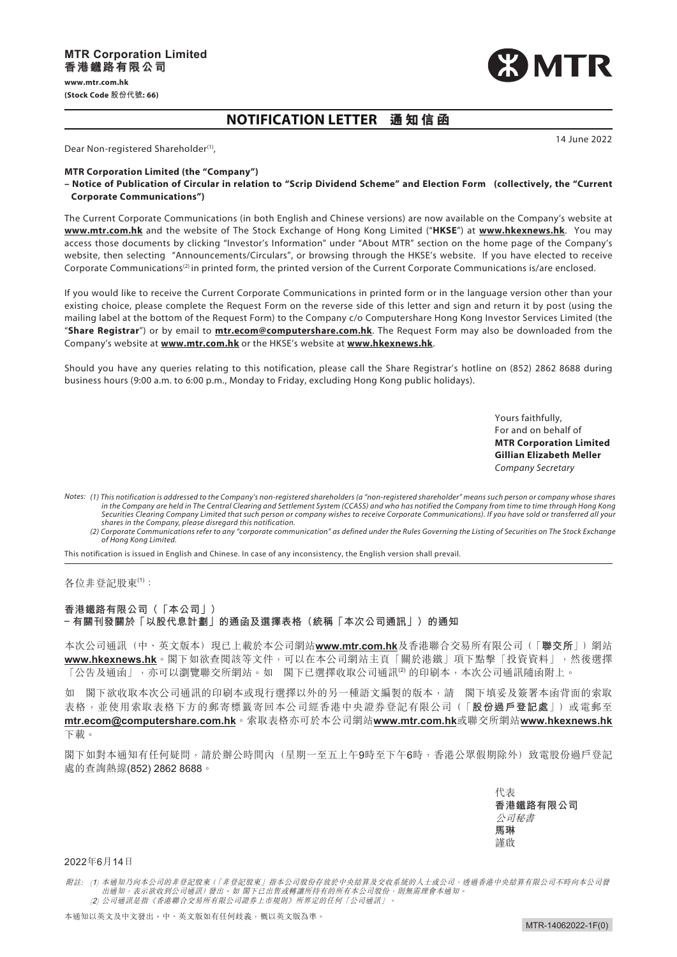

14 June 2022

## **NOTIFICATION LETTER 通知信 函**

Dear Non-registered Shareholder<sup>(1)</sup>,

## **MTR Corporation Limited (the "Company")**

**– Notice of Publication of Circular in relation to "Scrip Dividend Scheme" and Election Form (collectively, the "Current Corporate Communications")**

The Current Corporate Communications (in both English and Chinese versions) are now available on the Company's website at **[www.mtr.com.hk](https://www.mtr.com.hk/en/customer/main/index.html?notice=read)** and the website of The Stock Exchange of Hong Kong Limited ("**HKSE**") at **[www.hkexnews.hk](https://www.hkexnews.hk/index.htm)**. You may access those documents by clicking "Investor's Information" under "About MTR" section on the home page of the Company's website, then selecting "Announcements/Circulars", or browsing through the HKSE's website. If you have elected to receive Corporate Communications<sup>(2)</sup> in printed form, the printed version of the Current Corporate Communications is/are enclosed.

If you would like to receive the Current Corporate Communications in printed form or in the language version other than your existing choice, please complete the Request Form on the reverse side of this letter and sign and return it by post (using the mailing label at the bottom of the Request Form) to the Company c/o Computershare Hong Kong Investor Services Limited (the "**Share Registrar**") or by email to **mtr.ecom@computershare.com.hk**. The Request Form may also be downloaded from the Company's website at **[www.mtr.com.hk](https://www.mtr.com.hk/en/customer/main/index.html?notice=read)** or the HKSE's website at **[www.hkexnews.hk](https://www.hkexnews.hk/index.htm)**.

Should you have any queries relating to this notification, please call the Share Registrar's hotline on (852) 2862 8688 during business hours (9:00 a.m. to 6:00 p.m., Monday to Friday, excluding Hong Kong public holidays).

> Yours faithfully, For and on behalf of **MTR Corporation Limited Gillian Elizabeth Meller** *Company Secretary*

*(1) This notification is addressed to the Company's non-registered shareholders (a "non-registered shareholder" means such person or company whose shares Notes: in the Company are held in The Central Clearing and Settlement System (CCASS) and who has notified the Company from time to time through Hong Kong Securities Clearing Company Limited that such person or company wishes to receive Corporate Communications). If you have sold or transferred all your shares in the Company, please disregard this notification.*

*(2) Corporate Communications refer to any "corporate communication" as defined under the Rules Governing the Listing of Securities on The Stock Exchange of Hong Kong Limited.*

This notification is issued in English and Chinese. In case of any inconsistency, the English version shall prevail.

各位非登記股東(1):

## **香港鐵路有限公司(「本公司」) – 有關刊發關於「以股代息計劃」的通函及選擇表格(統稱「本次公司通訊」)的通知**

本次公司通訊(中、英文版本)現已上載於本公司網站**[www.mtr.com.hk](https://www.mtr.com.hk/ch/customer/main/index.html?notice=read)**及香港聯合交易所有限公司(「**聯交所**」)網站 **[www.hkexnews.hk](https://www.hkexnews.hk/index_c.htm)**。閣下如欲查閱該等文件,可以在本公司網站主頁「關於港鐵」項下點擊「投資資料」,然後選擇 「公告及通函」,亦可以瀏覽聯交所網站。如 閣下已選擇收取公司通訊<sup>20</sup> 的印刷本,本次公司通訊隨函附上。

如 閣下欲收取本次公司通訊的印刷本或現行選擇以外的另一種語文編製的版本,請 閣下填妥及簽署本函背面的索取 表格,並使用索取表格下方的郵寄標籤寄回本公司經香港中央證券登記有限公司(「**股份過戶登記處**」)或電郵至 **mtr.ecom@computershare.com.hk**。索取表格亦可於本公司網站**[www.mtr.com.hk](https://www.mtr.com.hk/ch/customer/main/index.html?notice=read)**或聯交所網站**[www.hkexnews.hk](https://www.hkexnews.hk/index_c.htm)** 下載。

閣下如對本通知有任何疑問,請於辦公時間內(星期一至五上午9時至下午6時,香港公眾假期除外)致電股份過戶登記 處的查詢熱線(852) 2862 8688。

> 代表 **香港鐵路有限公司 馬琳** 謹啟 公司秘書

## 2022年6月14日

附註: (1) 本通知乃向本公司的非登記股東(「非登記股東」指本公司股份存放於中央結算及交收系統的人士或公司, 透過香港中央結算有限公司不時向本公司發<br> 出通知,表示欲收到公司通訊) 發出。如 閣下已出售或轉讓所持有的所有本公司股份,則無需理會本通知。 (<sup>2</sup>) 公司通訊是指《香港聯合交易所有限公司證券上市規則》所界定的任何「公司通訊」。